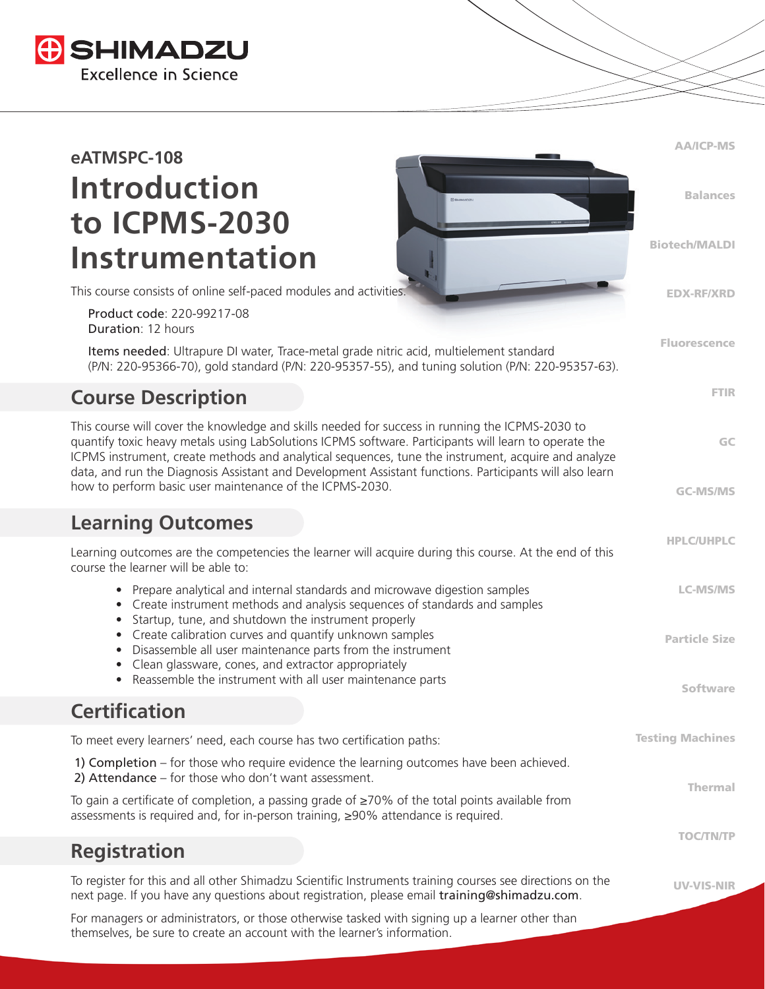

# **eATMSPC-108 Introduction to ICPMS-2030 Instrumentation**

This course consists of online self-paced modules and activities.

 Product code: 220-99217-08 Duration: 12 hours

 Items needed: Ultrapure DI water, Trace-metal grade nitric acid, multielement standard (P/N: 220-95366-70), gold standard (P/N: 220-95357-55), and tuning solution (P/N: 220-95357-63). AA/ICP-MS

Balances

Biotech/MALDI

EDX-RF/XRD

Fluorescence

FTIR

GC

GC-MS/MS

HPLC/UHPLC

# **Course Description**

This course will cover the knowledge and skills needed for success in running the ICPMS-2030 to quantify toxic heavy metals using LabSolutions ICPMS software. Participants will learn to operate the ICPMS instrument, create methods and analytical sequences, tune the instrument, acquire and analyze data, and run the Diagnosis Assistant and Development Assistant functions. Participants will also learn how to perform basic user maintenance of the ICPMS-2030.

#### **Learning Outcomes**

| Learning outcomes are the competencies the learner will acquire during this course. At the end of this<br>course the learner will be able to:                                                                                |                         |
|------------------------------------------------------------------------------------------------------------------------------------------------------------------------------------------------------------------------------|-------------------------|
| • Prepare analytical and internal standards and microwave digestion samples<br>Create instrument methods and analysis sequences of standards and samples<br>$\bullet$<br>Startup, tune, and shutdown the instrument properly | <b>LC-MS/MS</b>         |
| Create calibration curves and quantify unknown samples<br>$\bullet$<br>Disassemble all user maintenance parts from the instrument<br>$\bullet$<br>Clean glassware, cones, and extractor appropriately<br>$\bullet$           | <b>Particle Size</b>    |
| Reassemble the instrument with all user maintenance parts<br>$\bullet$                                                                                                                                                       | Software                |
| <b>Certification</b>                                                                                                                                                                                                         |                         |
| To meet every learners' need, each course has two certification paths:                                                                                                                                                       | <b>Testing Machines</b> |
| 1) Completion – for those who require evidence the learning outcomes have been achieved.<br>2) Attendance - for those who don't want assessment.                                                                             | <b>Thermal</b>          |
| To gain a certificate of completion, a passing grade of $\geq$ 70% of the total points available from<br>assessments is required and, for in-person training, ≥90% attendance is required.                                   |                         |
|                                                                                                                                                                                                                              | <b>TOC/TN/TP</b>        |
| <b>Registration</b>                                                                                                                                                                                                          |                         |
| To register for this and all other Shimadzu Scientific Instruments training courses see directions on the<br>next page. If you have any questions about registration, please email training@shimadzu.com.                    | <b>UV-VIS-NIR</b>       |
| For managers or administrators, or those otherwise tasked with signing up a learner other than                                                                                                                               |                         |

themselves, be sure to create an account with the learner's information.